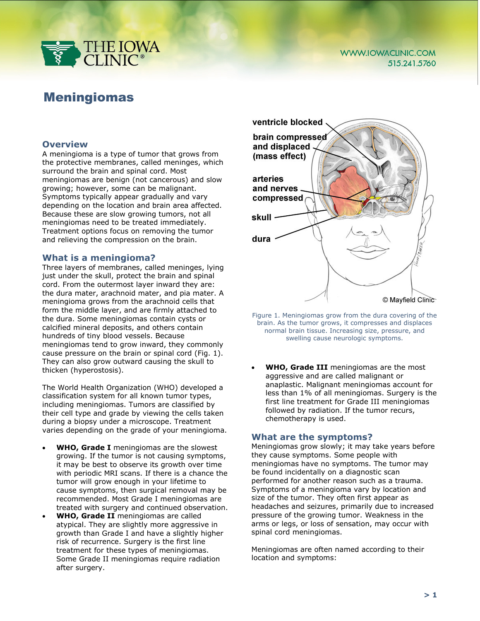

# Meningiomas

## **Overview**

A meningioma is a type of tumor that grows from the protective membranes, called meninges, which surround the brain and spinal cord. Most meningiomas are benign (not cancerous) and slow growing; however, some can be malignant. Symptoms typically appear gradually and vary depending on the location and brain area affected. Because these are slow growing tumors, not all meningiomas need to be treated immediately. Treatment options focus on removing the tumor and relieving the compression on the brain.

#### **What is a meningioma?**

Three layers of membranes, called meninges, lying just under the skull, protect the brain and spinal cord. From the outermost layer inward they are: the dura mater, arachnoid mater, and pia mater. A meningioma grows from the arachnoid cells that form the middle layer, and are firmly attached to the dura. Some meningiomas contain cysts or calcified mineral deposits, and others contain hundreds of tiny blood vessels. Because meningiomas tend to grow inward, they commonly cause pressure on the brain or spinal cord (Fig. 1). They can also grow outward causing the skull to thicken (hyperostosis).

The World Health Organization (WHO) developed a classification system for all known tumor types, including meningiomas. Tumors are classified by their cell type and grade by viewing the cells taken during a biopsy under a microscope. Treatment varies depending on the grade of your meningioma.

- **WHO, Grade I** meningiomas are the slowest growing. If the tumor is not causing symptoms, it may be best to observe its growth over time with periodic MRI scans. If there is a chance the tumor will grow enough in your lifetime to cause symptoms, then surgical removal may be recommended. Most Grade I meningiomas are treated with surgery and continued observation.
- **WHO, Grade II** meningiomas are called atypical. They are slightly more aggressive in growth than Grade I and have a slightly higher risk of recurrence. Surgery is the first line treatment for these types of meningiomas. Some Grade II meningiomas require radiation after surgery.



Figure 1. Meningiomas grow from the dura covering of the brain. As the tumor grows, it compresses and displaces normal brain tissue. Increasing size, pressure, and swelling cause neurologic symptoms.

• **WHO, Grade III** meningiomas are the most aggressive and are called malignant or anaplastic. Malignant meningiomas account for less than 1% of all meningiomas. Surgery is the first line treatment for Grade III meningiomas followed by radiation. If the tumor recurs, chemotherapy is used.

## **What are the symptoms?**

Meningiomas grow slowly; it may take years before they cause symptoms. Some people with meningiomas have no symptoms. The tumor may be found incidentally on a diagnostic scan performed for another reason such as a trauma. Symptoms of a meningioma vary by location and size of the tumor. They often first appear as headaches and seizures, primarily due to increased pressure of the growing tumor. Weakness in the arms or legs, or loss of sensation, may occur with spinal cord meningiomas.

Meningiomas are often named according to their location and symptoms: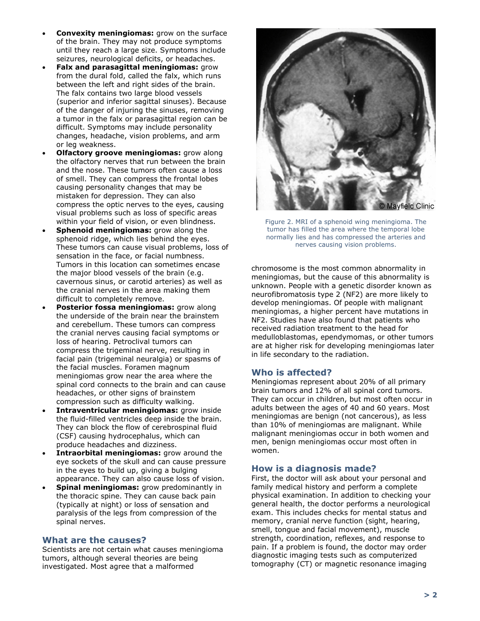- **Convexity meningiomas:** grow on the surface of the brain. They may not produce symptoms until they reach a large size. Symptoms include seizures, neurological deficits, or headaches.
- **Falx and parasagittal meningiomas:** grow from the dural fold, called the falx, which runs between the left and right sides of the brain. The falx contains two large blood vessels (superior and inferior sagittal sinuses). Because of the danger of injuring the sinuses, removing a tumor in the falx or parasagittal region can be difficult. Symptoms may include personality changes, headache, vision problems, and arm or leg weakness.
- **Olfactory groove meningiomas:** grow along the olfactory nerves that run between the brain and the nose. These tumors often cause a loss of smell. They can compress the frontal lobes causing personality changes that may be mistaken for depression. They can also compress the optic nerves to the eyes, causing visual problems such as loss of specific areas within your field of vision, or even blindness.
- **Sphenoid meningiomas:** grow along the sphenoid ridge, which lies behind the eyes. These tumors can cause visual problems, loss of sensation in the face, or facial numbness. Tumors in this location can sometimes encase the major blood vessels of the brain (e.g. cavernous sinus, or carotid arteries) as well as the cranial nerves in the area making them difficult to completely remove.
- **Posterior fossa meningiomas:** grow along the underside of the brain near the brainstem and cerebellum. These tumors can compress the cranial nerves causing facial symptoms or loss of hearing. Petroclival tumors can compress the trigeminal nerve, resulting in facial pain (trigeminal neuralgia) or spasms of the facial muscles. Foramen magnum meningiomas grow near the area where the spinal cord connects to the brain and can cause headaches, or other signs of brainstem compression such as difficulty walking.
- **Intraventricular meningiomas:** grow inside the fluid-filled ventricles deep inside the brain. They can block the flow of cerebrospinal fluid (CSF) causing hydrocephalus, which can produce headaches and dizziness.
- **Intraorbital meningiomas:** grow around the eye sockets of the skull and can cause pressure in the eyes to build up, giving a bulging appearance. They can also cause loss of vision.
- **Spinal meningiomas:** grow predominantly in the thoracic spine. They can cause back pain (typically at night) or loss of sensation and paralysis of the legs from compression of the spinal nerves.

## **What are the causes?**

Scientists are not certain what causes meningioma tumors, although several theories are being investigated. Most agree that a malformed



Figure 2. MRI of a sphenoid wing meningioma. The tumor has filled the area where the temporal lobe normally lies and has compressed the arteries and nerves causing vision problems.

chromosome is the most common abnormality in meningiomas, but the cause of this abnormality is unknown. People with a genetic disorder known as neurofibromatosis type 2 (NF2) are more likely to develop meningiomas. Of people with malignant meningiomas, a higher percent have mutations in NF2. Studies have also found that patients who received radiation treatment to the head for medulloblastomas, ependymomas, or other tumors are at higher risk for developing meningiomas later in life secondary to the radiation.

## **Who is affected?**

Meningiomas represent about 20% of all primary brain tumors and 12% of all spinal cord tumors. They can occur in children, but most often occur in adults between the ages of 40 and 60 years. Most meningiomas are benign (not cancerous), as less than 10% of meningiomas are malignant. While malignant meningiomas occur in both women and men, benign meningiomas occur most often in women.

## **How is a diagnosis made?**

First, the doctor will ask about your personal and family medical history and perform a complete physical examination. In addition to checking your general health, the doctor performs a neurological exam. This includes checks for mental status and memory, cranial nerve function (sight, hearing, smell, tongue and facial movement), muscle strength, coordination, reflexes, and response to pain. If a problem is found, the doctor may order diagnostic imaging tests such as computerized tomography (CT) or magnetic resonance imaging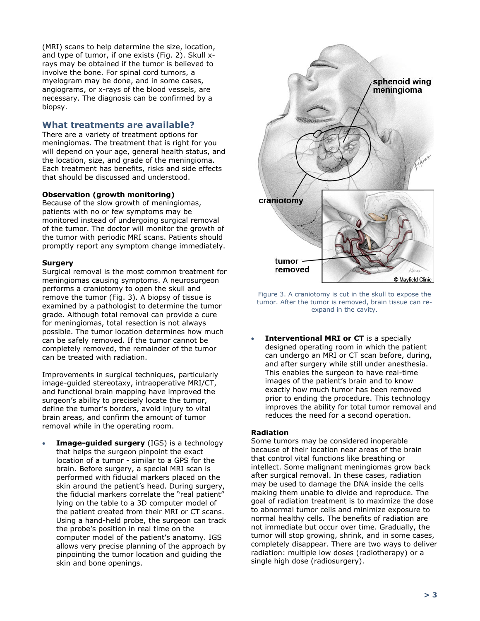(MRI) scans to help determine the size, location, and type of tumor, if one exists (Fig. 2). Skull xrays may be obtained if the tumor is believed to involve the bone. For spinal cord tumors, a myelogram may be done, and in some cases, angiograms, or x-rays of the blood vessels, are necessary. The diagnosis can be confirmed by a biopsy.

## **What treatments are available?**

There are a variety of treatment options for meningiomas. The treatment that is right for you will depend on your age, general health status, and the location, size, and grade of the meningioma. Each treatment has benefits, risks and side effects that should be discussed and understood.

#### **Observation (growth monitoring)**

Because of the slow growth of meningiomas, patients with no or few symptoms may be monitored instead of undergoing surgical removal of the tumor. The doctor will monitor the growth of the tumor with periodic MRI scans. Patients should promptly report any symptom change immediately.

#### **Surgery**

Surgical removal is the most common treatment for meningiomas causing symptoms. A neurosurgeon performs a craniotomy to open the skull and remove the tumor (Fig. 3). A biopsy of tissue is examined by a pathologist to determine the tumor grade. Although total removal can provide a cure for meningiomas, total resection is not always possible. The tumor location determines how much can be safely removed. If the tumor cannot be completely removed, the remainder of the tumor can be treated with radiation.

Improvements in surgical techniques, particularly image-guided stereotaxy, intraoperative MRI/CT, and functional brain mapping have improved the surgeon's ability to precisely locate the tumor, define the tumor's borders, avoid injury to vital brain areas, and confirm the amount of tumor removal while in the operating room.

• **Image-guided surgery** (IGS) is a technology that helps the surgeon pinpoint the exact location of a tumor - similar to a GPS for the brain. Before surgery, a special MRI scan is performed with fiducial markers placed on the skin around the patient's head. During surgery, the fiducial markers correlate the "real patient" lying on the table to a 3D computer model of the patient created from their MRI or CT scans. Using a hand-held probe, the surgeon can track the probe's position in real time on the computer model of the patient's anatomy. IGS allows very precise planning of the approach by pinpointing the tumor location and guiding the skin and bone openings.



Figure 3. A craniotomy is cut in the skull to expose the tumor. After the tumor is removed, brain tissue can reexpand in the cavity.

**Interventional MRI or CT** is a specially designed operating room in which the patient can undergo an MRI or CT scan before, during, and after surgery while still under anesthesia. This enables the surgeon to have real-time images of the patient's brain and to know exactly how much tumor has been removed prior to ending the procedure. This technology improves the ability for total tumor removal and reduces the need for a second operation.

#### **Radiation**

Some tumors may be considered inoperable because of their location near areas of the brain that control vital functions like breathing or intellect. Some malignant meningiomas grow back after surgical removal. In these cases, radiation may be used to damage the DNA inside the cells making them unable to divide and reproduce. The goal of radiation treatment is to maximize the dose to abnormal tumor cells and minimize exposure to normal healthy cells. The benefits of radiation are not immediate but occur over time. Gradually, the tumor will stop growing, shrink, and in some cases, completely disappear. There are two ways to deliver radiation: multiple low doses (radiotherapy) or a single high dose (radiosurgery).